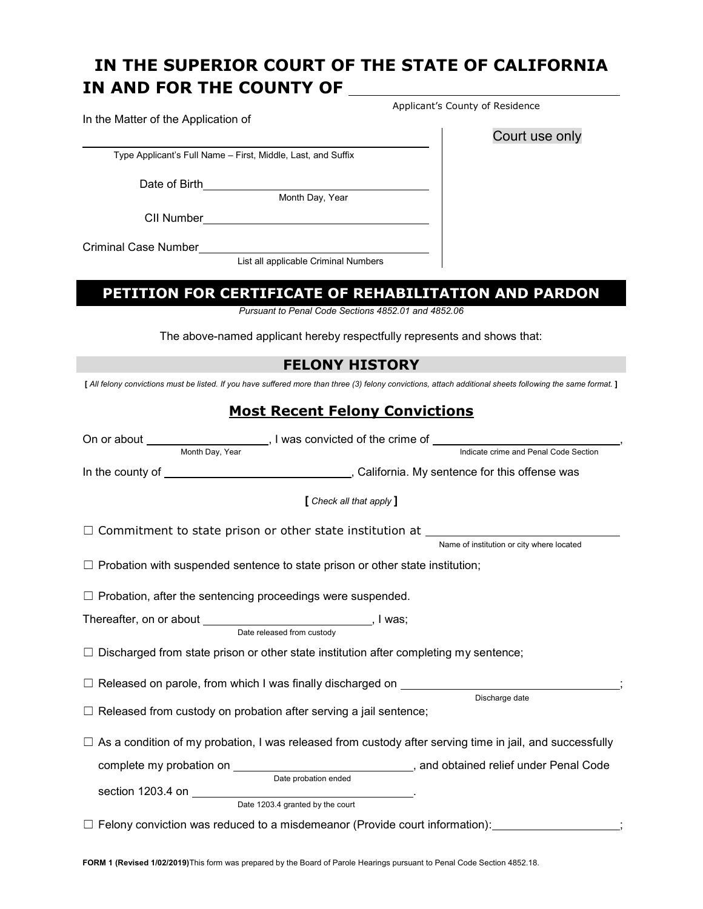# **IN AND FOR THE COUNTY OF IN THE SUPERIOR COURT OF THE STATE OF CALIFORNIA**

Type Applicant's Full Name – First, Middle, Last, and Suffix

Date of Birth\_

Month Day, Year

CII Number

Criminal Case Number

List all applicable Criminal Numbers

# **PETITION FOR CERTIFICATE OF REHABILITATION AND PARDON**

 *Pursuant to Penal Code Sections 4852.01 and 4852.06* 

The above-named applicant hereby respectfully represents and shows that:

## **FELONY HISTORY**

 **[** *All felony convictions must be listed. If you have suffered more than three (3) felony convictions, attach additional sheets following the same format.* **]** 

# **Most Recent Felony Convictions**

|                                                                                      | Month Day, Year<br>Indicate crime and Penal Code Section                                                        |  |
|--------------------------------------------------------------------------------------|-----------------------------------------------------------------------------------------------------------------|--|
|                                                                                      |                                                                                                                 |  |
|                                                                                      | [ Check all that apply ]                                                                                        |  |
|                                                                                      | Name of institution or city where located                                                                       |  |
| $\Box$ Probation with suspended sentence to state prison or other state institution; |                                                                                                                 |  |
|                                                                                      | $\Box$ Probation, after the sentencing proceedings were suspended.                                              |  |
|                                                                                      | Thereafter, on or about __________________________________, I was;<br>Date released from custody                |  |
|                                                                                      | $\Box$ Discharged from state prison or other state institution after completing my sentence;                    |  |
|                                                                                      | $\Box$ Released on parole, from which I was finally discharged on $\Box$<br>Discharge date                      |  |
|                                                                                      | $\Box$ Released from custody on probation after serving a jail sentence;                                        |  |
|                                                                                      | $\Box$ As a condition of my probation, I was released from custody after serving time in jail, and successfully |  |
|                                                                                      | Date probation ended<br>Date 1203.4 granted by the court                                                        |  |
|                                                                                      | $\Box$ Felony conviction was reduced to a misdemeanor (Provide court information):                              |  |

Applicant's County of Residence

Court use only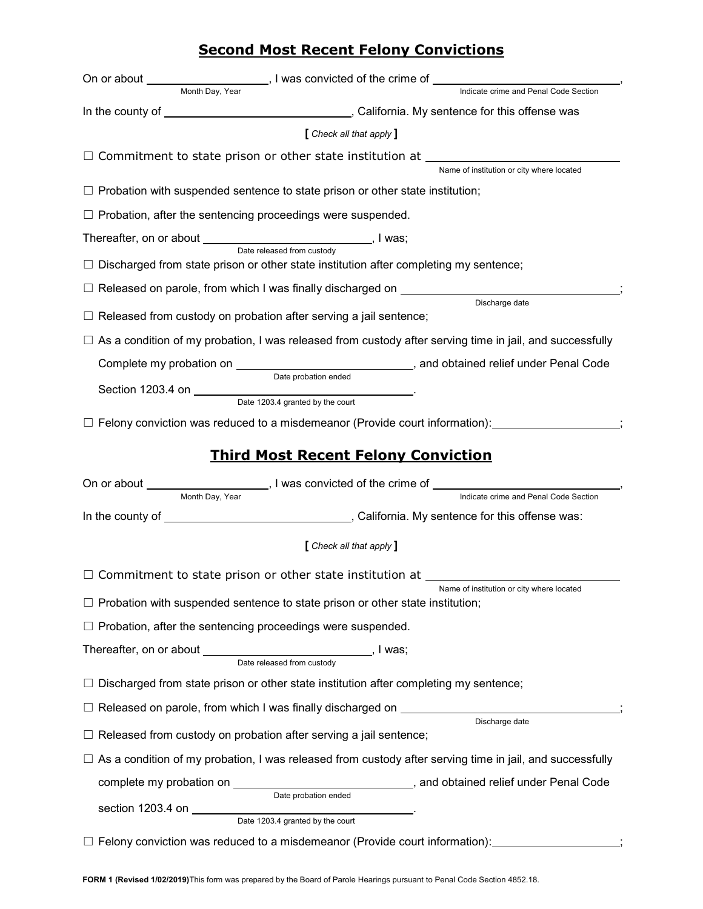# **Second Most Recent Felony Convictions**

| On or about the control of the control of the control of the control of the control of the control of the control of the control of the control of the control of the control of the control of the control of the control of | Let us a solution of the crime of Let us and solution of Let us and the crime of                                                  |
|-------------------------------------------------------------------------------------------------------------------------------------------------------------------------------------------------------------------------------|-----------------------------------------------------------------------------------------------------------------------------------|
| Month Dav. Year                                                                                                                                                                                                               | Indicate crime and Penal Code Section                                                                                             |
|                                                                                                                                                                                                                               |                                                                                                                                   |
|                                                                                                                                                                                                                               | [ Check all that apply ]                                                                                                          |
|                                                                                                                                                                                                                               |                                                                                                                                   |
|                                                                                                                                                                                                                               | Name of institution or city where located                                                                                         |
|                                                                                                                                                                                                                               | $\Box$ Probation with suspended sentence to state prison or other state institution;                                              |
|                                                                                                                                                                                                                               | $\Box$ Probation, after the sentencing proceedings were suspended.                                                                |
|                                                                                                                                                                                                                               | Thereafter, on or about __________________________________, I was;<br>Date released from custody                                  |
|                                                                                                                                                                                                                               | $\Box$ Discharged from state prison or other state institution after completing my sentence;                                      |
|                                                                                                                                                                                                                               | $\Box$ Released on parole, from which I was finally discharged on $\Box$                                                          |
|                                                                                                                                                                                                                               | Discharge date<br>$\Box$ Released from custody on probation after serving a jail sentence;                                        |
|                                                                                                                                                                                                                               |                                                                                                                                   |
|                                                                                                                                                                                                                               | $\Box$ As a condition of my probation, I was released from custody after serving time in jail, and successfully                   |
|                                                                                                                                                                                                                               | Date probation ended                                                                                                              |
|                                                                                                                                                                                                                               | Date 1203.4 granted by the court                                                                                                  |
|                                                                                                                                                                                                                               | $\Box$ Felony conviction was reduced to a misdemeanor (Provide court information): $\Box$                                         |
|                                                                                                                                                                                                                               |                                                                                                                                   |
|                                                                                                                                                                                                                               | <b>Third Most Recent Felony Conviction</b>                                                                                        |
|                                                                                                                                                                                                                               |                                                                                                                                   |
| Month Day, Year                                                                                                                                                                                                               | Indicate crime and Penal Code Section                                                                                             |
|                                                                                                                                                                                                                               |                                                                                                                                   |
|                                                                                                                                                                                                                               | [ Check all that apply ]                                                                                                          |
|                                                                                                                                                                                                                               | $\Box$ Commitment to state prison or other state institution at $\Box$                                                            |
|                                                                                                                                                                                                                               | Name of institution or city where located<br>$\Box$ Probation with suspended sentence to state prison or other state institution; |
|                                                                                                                                                                                                                               | $\Box$ Probation, after the sentencing proceedings were suspended.                                                                |
|                                                                                                                                                                                                                               |                                                                                                                                   |
|                                                                                                                                                                                                                               |                                                                                                                                   |
|                                                                                                                                                                                                                               | Discharged from state prison or other state institution after completing my sentence;                                             |
|                                                                                                                                                                                                                               | Released on parole, from which I was finally discharged on _____________________                                                  |
|                                                                                                                                                                                                                               | Discharge date<br>Released from custody on probation after serving a jail sentence;                                               |
|                                                                                                                                                                                                                               | $\Box$ As a condition of my probation, I was released from custody after serving time in jail, and successfully                   |
|                                                                                                                                                                                                                               |                                                                                                                                   |
|                                                                                                                                                                                                                               | Date probation ended                                                                                                              |
|                                                                                                                                                                                                                               | section 1203.4 on <u>Date 1203.4</u> granted by the court                                                                         |
|                                                                                                                                                                                                                               | $\Box$ Felony conviction was reduced to a misdemeanor (Provide court information):                                                |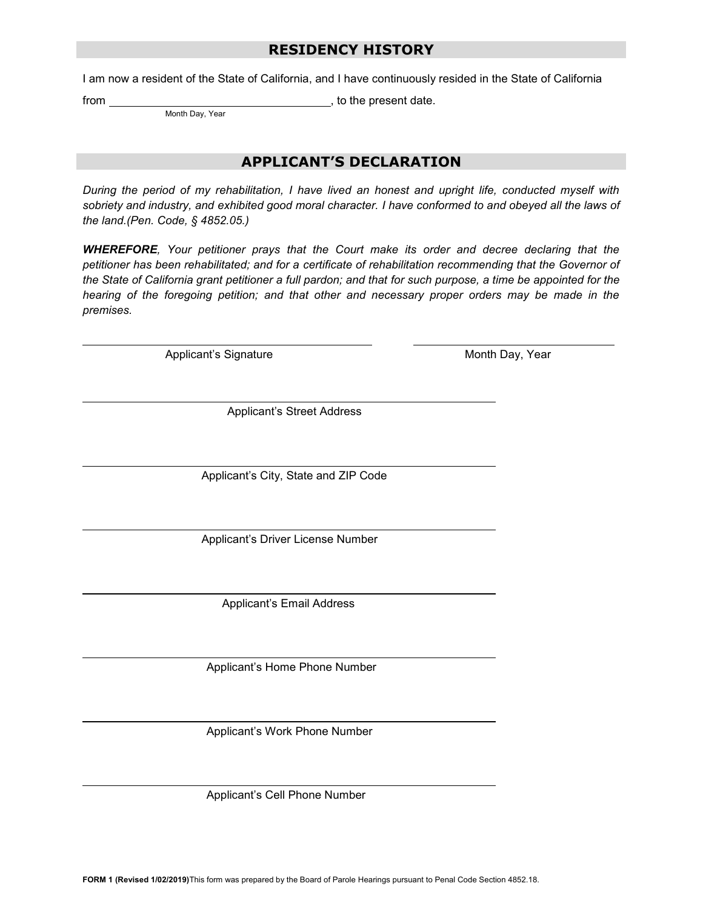### **RESIDENCY HISTORY**

I am now a resident of the State of California, and I have continuously resided in the State of California

from , to the present date.

Month Day, Year

### **APPLICANT'S DECLARATION**

 *During the period of my rehabilitation, I have lived an honest and upright life, conducted myself with sobriety and industry, and exhibited good moral character. I have conformed to and obeyed all the laws of the land.(Pen. Code, § 4852.05.)* 

 *WHEREFORE, Your petitioner prays that the Court make its order and decree declaring that the petitioner has been rehabilitated; and for a certificate of rehabilitation recommending that the Governor of the State of California grant petitioner a full pardon; and that for such purpose, a time be appointed for the hearing of the foregoing petition; and that other and necessary proper orders may be made in the premises.* 

Applicant's Signature Month Day, Year

Applicant's Street Address

Applicant's City, State and ZIP Code

Applicant's Driver License Number

Applicant's Email Address

Applicant's Home Phone Number

Applicant's Work Phone Number

Applicant's Cell Phone Number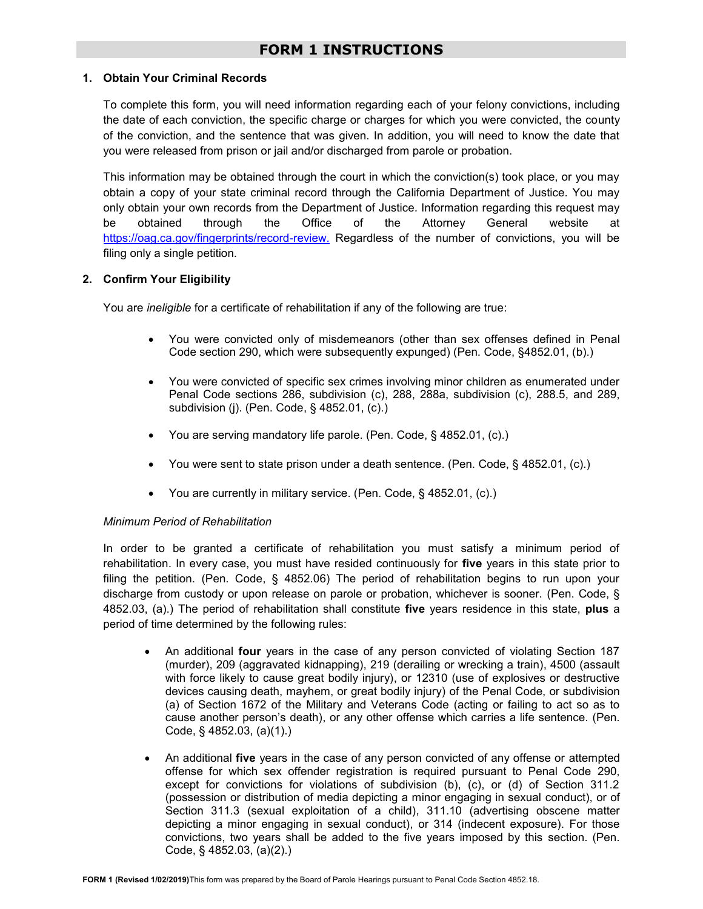#### **1. Obtain Your Criminal Records**

 To complete this form, you will need information regarding each of your felony convictions, including the date of each conviction, the specific charge or charges for which you were convicted, the county of the conviction, and the sentence that was given. In addition, you will need to know the date that you were released from prison or jail and/or discharged from parole or probation.

 This information may be obtained through the court in which the conviction(s) took place, or you may obtain a copy of your state criminal record through the California Department of Justice. You may only obtain your own records from the Department of Justice. Information regarding this request may through [https://oag.ca.gov/fingerprints/record-review.](https://oag.ca.gov/fingerprints/record-review) Regardless of the number of convictions, you will be be obtained through the Office of the Attorney General website at filing only a single petition.

#### **2. Confirm Your Eligibility**

You are *ineligible* for a certificate of rehabilitation if any of the following are true:

- You were convicted only of misdemeanors (other than sex offenses defined in Penal Code section 290, which were subsequently expunged) (Pen. Code, §4852.01, (b).)
- Penal Code sections 286, subdivision (c), 288, 288a, subdivision (c), 288.5, and 289, You were convicted of specific sex crimes involving minor children as enumerated under subdivision (j). (Pen. Code, § 4852.01, (c).)
- You are serving mandatory life parole. (Pen. Code, § 4852.01, (c).)
- You were sent to state prison under a death sentence. (Pen. Code, § 4852.01, (c).)
- You are currently in military service. (Pen. Code, § 4852.01, (c).)

#### *Minimum Period of Rehabilitation*

 In order to be granted a certificate of rehabilitation you must satisfy a minimum period of rehabilitation. In every case, you must have resided continuously for **five** years in this state prior to filing the petition. (Pen. Code, § 4852.06) The period of rehabilitation begins to run upon your discharge from custody or upon release on parole or probation, whichever is sooner. (Pen. Code, § 4852.03, (a).) The period of rehabilitation shall constitute **five** years residence in this state, **plus** a period of time determined by the following rules:

- An additional **four** years in the case of any person convicted of violating Section 187 (murder), 209 (aggravated kidnapping), 219 (derailing or wrecking a train), 4500 (assault with force likely to cause great bodily injury), or 12310 (use of explosives or destructive devices causing death, mayhem, or great bodily injury) of the Penal Code, or subdivision (a) of Section 1672 of the Military and Veterans Code (acting or failing to act so as to cause another person's death), or any other offense which carries a life sentence. (Pen. Code, § 4852.03, (a)(1).)
- An additional **five** years in the case of any person convicted of any offense or attempted offense for which sex offender registration is required pursuant to Penal Code 290, except for convictions for violations of subdivision (b), (c), or (d) of Section 311.2 (possession or distribution of media depicting a minor engaging in sexual conduct), or of Section 311.3 (sexual exploitation of a child), 311.10 (advertising obscene matter convictions, two years shall be added to the five years imposed by this section. (Pen. Code, § 4852.03, (a)(2).) depicting a minor engaging in sexual conduct), or 314 (indecent exposure). For those